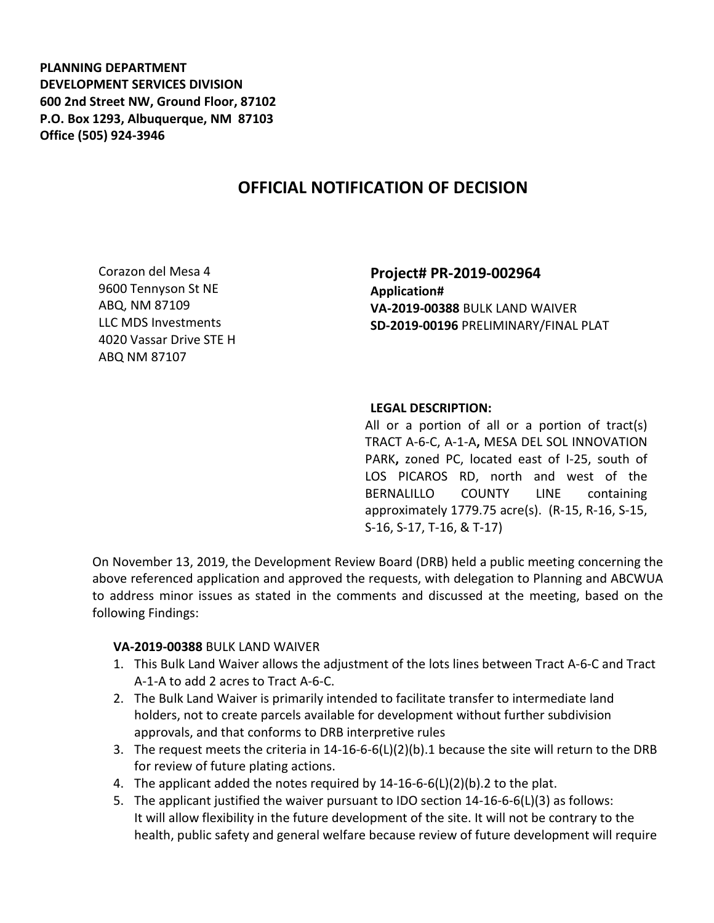**PLANNING DEPARTMENT DEVELOPMENT SERVICES DIVISION 600 2nd Street NW, Ground Floor, 87102 P.O. Box 1293, Albuquerque, NM 87103 Office (505) 924-3946** 

## **OFFICIAL NOTIFICATION OF DECISION**

Corazon del Mesa 4 9600 Tennyson St NE ABQ, NM 87109 LLC MDS Investments 4020 Vassar Drive STE H ABQ NM 87107

**Project# PR-2019-002964 Application# VA-2019-00388** BULK LAND WAIVER **SD-2019-00196** PRELIMINARY/FINAL PLAT

## **LEGAL DESCRIPTION:**

All or a portion of all or a portion of tract(s) TRACT A-6-C, A-1-A**,** MESA DEL SOL INNOVATION PARK**,** zoned PC, located east of I-25, south of LOS PICAROS RD, north and west of the BERNALILLO COUNTY LINE containing approximately 1779.75 acre(s). (R-15, R-16, S-15, S-16, S-17, T-16, & T-17)

On November 13, 2019, the Development Review Board (DRB) held a public meeting concerning the above referenced application and approved the requests, with delegation to Planning and ABCWUA to address minor issues as stated in the comments and discussed at the meeting, based on the following Findings:

## **VA-2019-00388** BULK LAND WAIVER

- 1. This Bulk Land Waiver allows the adjustment of the lots lines between Tract A-6-C and Tract A-1-A to add 2 acres to Tract A-6-C.
- 2. The Bulk Land Waiver is primarily intended to facilitate transfer to intermediate land holders, not to create parcels available for development without further subdivision approvals, and that conforms to DRB interpretive rules
- 3. The request meets the criteria in 14-16-6-6(L)(2)(b).1 because the site will return to the DRB for review of future plating actions.
- 4. The applicant added the notes required by 14-16-6-6(L)(2)(b).2 to the plat.
- 5. The applicant justified the waiver pursuant to IDO section 14-16-6-6(L)(3) as follows: It will allow flexibility in the future development of the site. It will not be contrary to the health, public safety and general welfare because review of future development will require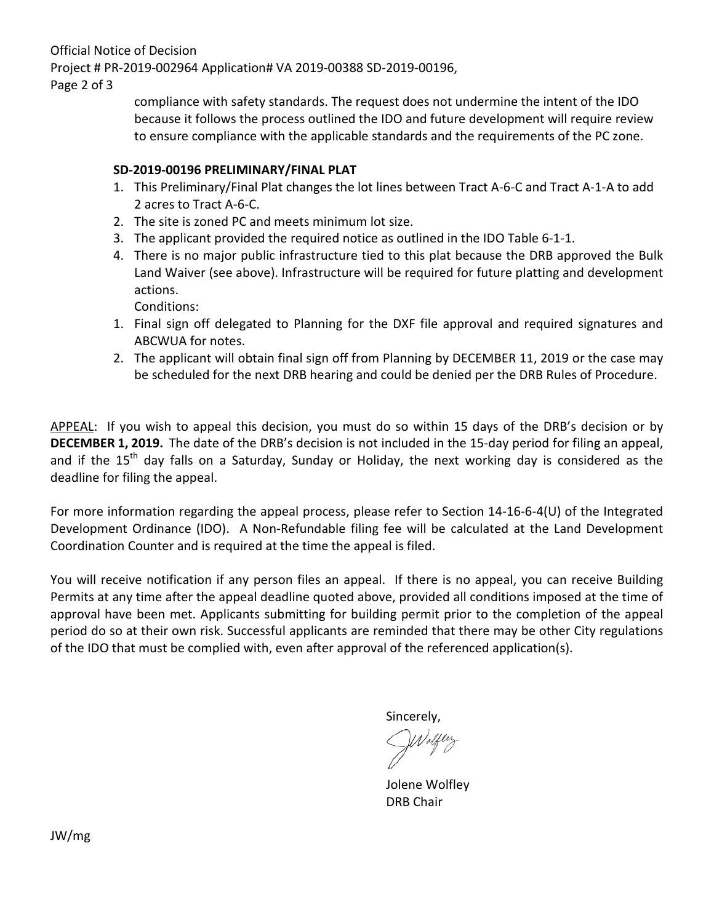Official Notice of Decision Project # PR-2019-002964 Application# VA 2019-00388 SD-2019-00196,

Page 2 of 3

compliance with safety standards. The request does not undermine the intent of the IDO because it follows the process outlined the IDO and future development will require review to ensure compliance with the applicable standards and the requirements of the PC zone.

## **SD-2019-00196 PRELIMINARY/FINAL PLAT**

- 1. This Preliminary/Final Plat changes the lot lines between Tract A-6-C and Tract A-1-A to add 2 acres to Tract A-6-C.
- 2. The site is zoned PC and meets minimum lot size.
- 3. The applicant provided the required notice as outlined in the IDO Table 6-1-1.
- 4. There is no major public infrastructure tied to this plat because the DRB approved the Bulk Land Waiver (see above). Infrastructure will be required for future platting and development actions.

Conditions:

- 1. Final sign off delegated to Planning for the DXF file approval and required signatures and ABCWUA for notes.
- 2. The applicant will obtain final sign off from Planning by DECEMBER 11, 2019 or the case may be scheduled for the next DRB hearing and could be denied per the DRB Rules of Procedure.

APPEAL: If you wish to appeal this decision, you must do so within 15 days of the DRB's decision or by **DECEMBER 1, 2019.** The date of the DRB's decision is not included in the 15-day period for filing an appeal, and if the  $15<sup>th</sup>$  day falls on a Saturday, Sunday or Holiday, the next working day is considered as the deadline for filing the appeal.

For more information regarding the appeal process, please refer to Section 14-16-6-4(U) of the Integrated Development Ordinance (IDO). A Non-Refundable filing fee will be calculated at the Land Development Coordination Counter and is required at the time the appeal is filed.

You will receive notification if any person files an appeal. If there is no appeal, you can receive Building Permits at any time after the appeal deadline quoted above, provided all conditions imposed at the time of approval have been met. Applicants submitting for building permit prior to the completion of the appeal period do so at their own risk. Successful applicants are reminded that there may be other City regulations of the IDO that must be complied with, even after approval of the referenced application(s).

Sincerely,

Jolene Wolfley DRB Chair

JW/mg